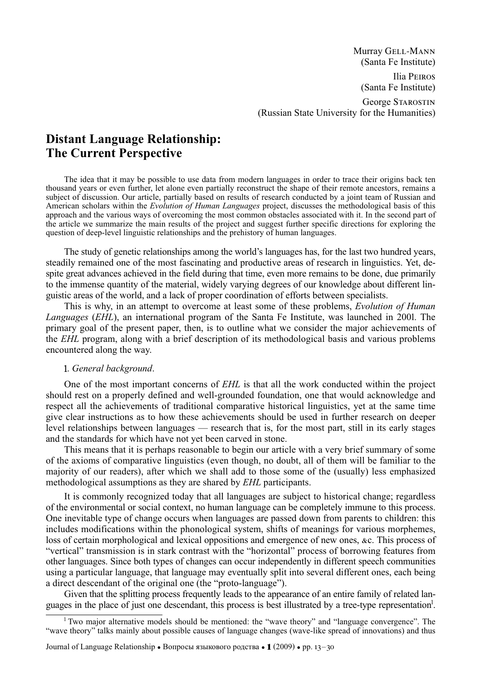Murray Gell-Mann (Santa Fe Institute) Ilia Peiros (Santa Fe Institute) George STAROSTIN (Russian State University for the Humanities)

# \_\_\_\_\_\_\_\_\_\_\_\_\_\_\_\_\_\_\_\_\_\_\_\_\_\_\_\_\_\_<br>The Current Persnective The Current Perspective

The idea that it may be possible to use data from modern languages in order to trace their origins back ten thousand years or even further, let alone even partially reconstruct the shape of their remote ancestors, remains a subject of discussion. Our article, partially based on results of research conducted by a joint team of Russian and American scholars within the *Evolution of Human Languages* project, discusses the methodological basis of this approach and the various ways of overcoming the most common obstacles associated with it. In the second part of the article we summarize the main results of the project and suggest further specific directions for exploring the question of deep-level linguistic relationships and the prehistory of human languages.

The study of genetic relationships among the world's languages has, for the last two hundred years, steadily remained one of the most fascinating and productive areas of research in linguistics. Yet, despite great advances achieved in the field during that time, even more remains to be done, due primarily to the immense quantity of the material, widely varying degrees of our knowledge about different linguistic areas of the world, and a lack of proper coordination of efforts between specialists.

This is why, in an attempt to overcome at least some of these problems, *Evolution of Human* Languages (EHL), an international program of the Santa Fe Institute, was launched in 2001. The primary goal of the present paper, then, is to outline what we consider the major achievements of the EHL program, along with a brief description of its methodological basis and various problems encountered along the way.

## 1. General background.

One of the most important concerns of EHL is that all the work conducted within the project should rest on a properly defined and well-grounded foundation, one that would acknowledge and respect all the achievements of traditional comparative historical linguistics, yet at the same time give clear instructions as to how these achievements should be used in further research on deeper level relationships between languages — research that is, for the most part, still in its early stages and the standards for which have not yet been carved in stone.

This means that it is perhaps reasonable to begin our article with a very brief summary of some of the axioms of comparative linguistics (even though, no doubt, all of them will be familiar to the majority of our readers), after which we shall add to those some of the (usually) less emphasized methodological assumptions as they are shared by EHL participants.

It is commonly recognized today that all languages are subject to historical change; regardless of the environmental or social context, no human language can be completely immune to this process. One inevitable type of change occurs when languages are passed down from parents to children: this includes modifications within the phonological system, shifts of meanings for various morphemes, loss of certain morphological and lexical oppositions and emergence of new ones, &c. This process of "vertical" transmission is in stark contrast with the "horizontal" process of borrowing features from other languages. Since both types of changes can occur independently in different speech communities using a particular language, that language may eventually split into several different ones, each being a direct descendant of the original one (the "proto-language").

Given that the splitting process frequently leads to the appearance of an entire family of related languages in the place of just one descendant, this process is best illustrated by a tree-type representation<sup>1</sup>.

<sup>&</sup>lt;sup>1</sup> Two major alternative models should be mentioned: the "wave theory" and "language convergence". The "wave theory" talks mainly about possible causes of language changes (wave-like spread of innovations) and thus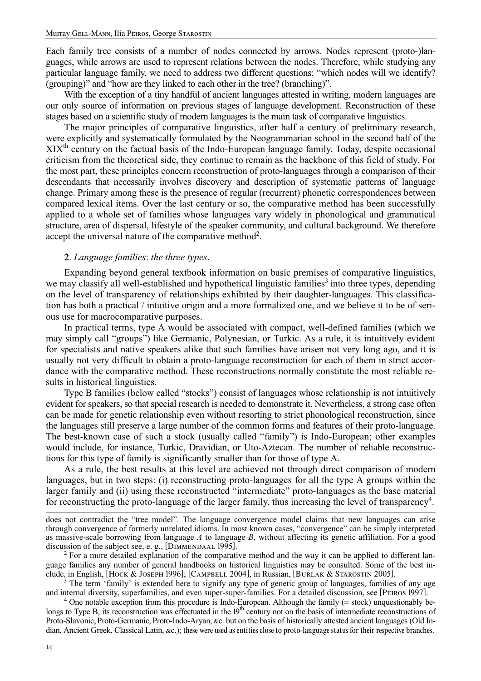Each family tree consists of a number of nodes connected by arrows. Nodes represent (proto-)languages, while arrows are used to represent relations between the nodes. Therefore, while studying any particular language family, we need to address two different questions: "which nodes will we identify? (grouping)" and "how are they linked to each other in the tree? (branching)".

With the exception of a tiny handful of ancient languages attested in writing, modern languages are our only source of information on previous stages of language development. Reconstruction of these stages based on a scientific study of modern languages is the main task of comparative linguistics.

The major principles of comparative linguistics, after half a century of preliminary research, were explicitly and systematically formulated by the Neogrammarian school in the second half of the XIXth century on the factual basis of the Indo-European language family. Today, despite occasional criticism from the theoretical side, they continue to remain as the backbone of this field of study. For the most part, these principles concern reconstruction of proto-languages through a comparison of their descendants that necessarily involves discovery and description of systematic patterns of language change. Primary among these is the presence of regular (recurrent) phonetic correspondences between compared lexical items. Over the last century or so, the comparative method has been successfully applied to a whole set of families whose languages vary widely in phonological and grammatical structure, area of dispersal, lifestyle of the speaker community, and cultural background. We therefore accept the universal nature of the comparative method<sup>2</sup>.

## 2. Language families: the three types.

Expanding beyond general textbook information on basic premises of comparative linguistics, we may classify all well-established and hypothetical linguistic families<sup>3</sup> into three types, depending on the level of transparency of relationships exhibited by their daughter-languages. This classification has both a practical / intuitive origin and a more formalized one, and we believe it to be of serious use for macrocomparative purposes.

In practical terms, type A would be associated with compact, well-defined families (which we may simply call "groups") like Germanic, Polynesian, or Turkic. As a rule, it is intuitively evident for specialists and native speakers alike that such families have arisen not very long ago, and it is usually not very difficult to obtain a proto-language reconstruction for each of them in strict accordance with the comparative method. These reconstructions normally constitute the most reliable results in historical linguistics.

Type B families (below called "stocks") consist of languages whose relationship is not intuitively evident for speakers, so that special research is needed to demonstrate it. Nevertheless, a strong case often can be made for genetic relationship even without resorting to strict phonological reconstruction, since the languages still preserve a large number of the common forms and features of their proto-language. The best-known case of such a stock (usually called "family") is Indo-European; other examples would include, for instance, Turkic, Dravidian, or Uto-Aztecan. The number of reliable reconstructions for this type of family is significantly smaller than for those of type A.

As a rule, the best results at this level are achieved not through direct comparison of modern languages, but in two steps: (i) reconstructing proto-languages for all the type A groups within the larger family and (ii) using these reconstructed "intermediate" proto-languages as the base material for reconstructing the proto-language of the larger family, thus increasing the level of transparency<sup>4</sup>.

does not contradict the "tree model". The language convergence model claims that new languages can arise through convergence of formerly unrelated idioms. In most known cases, "convergence" can be simply interpreted as massive-scale borrowing from language  $A$  to language  $B$ , without affecting its genetic affiliation. For a good discussion of the subject see, e. g., [DIMMENDAAL 1995].

 $2$  For a more detailed explanation of the comparative method and the way it can be applied to different language families any number of general handbooks on historical linguistics may be consulted. Some of the best include, in English, [HOCK & JOSEPH 1996]; [CAMPBELL 2004], in Russian, [BURLAK & STAROSTIN 2005].

<sup>3</sup> The term 'family' is extended here to signify any type of genetic group of languages, families of any age and internal diversity, superfamilies, and even super-super-families. For a detailed discussion, see [Peiros <sup>1997</sup>]. <sup>4</sup>

 One notable exception from this procedure is Indo-European. Although the family (*=* stock) unquestionably belongs to Type B, its reconstruction was effectuated in the  $19<sup>th</sup>$  century not on the basis of intermediate reconstructions of Proto-Slavonic, Proto-Germanic, Proto-Indo-Aryan, &c. but on the basis of historically attested ancient languages (Old Indian, Ancient Greek, Classical Latin, &c.); these were used as entities close to proto-language status for their respective branches.

֦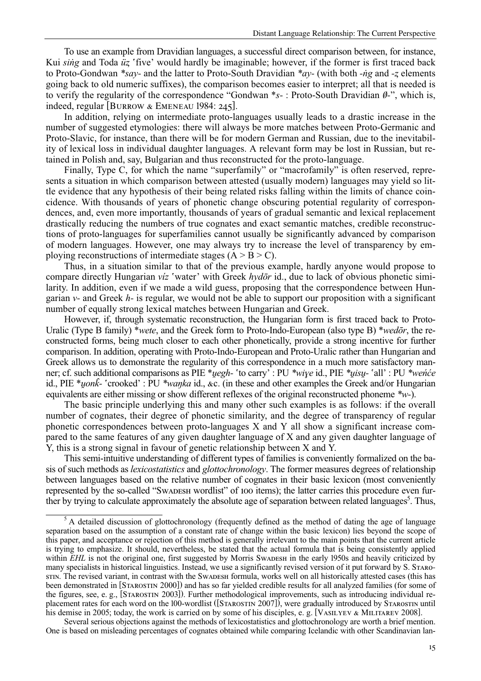To use an example from Dravidian languages, a successful direct comparison between, for instance, Kui sing and Toda  $\ddot{u}z$  'five' would hardly be imaginable; however, if the former is first traced back to Proto-Gondwan \*say- and the latter to Proto-South Dravidian \*ay- (with both - $\dot{n}g$  and -z elements going back to old numeric suffixes), the comparison becomes easier to interpret; all that is needed is to verify the regularity of the correspondence "Gondwan  $*_s$ -: Proto-South Dravidian  $\emptyset$ -", which is, indeed, regular [BURROW & EMENEAU 1984: 245].

In addition, relying on intermediate proto-languages usually leads to a drastic increase in the number of suggested etymologies: there will always be more matches between Proto-Germanic and Proto-Slavic, for instance, than there will be for modern German and Russian, due to the inevitability of lexical loss in individual daughter languages. A relevant form may be lost in Russian, but retained in Polish and, say, Bulgarian and thus reconstructed for the proto-language.

Finally, Type C, for which the name "superfamily" or "macrofamily" is often reserved, represents a situation in which comparison between attested (usually modern) languages may yield so little evidence that any hypothesis of their being related risks falling within the limits of chance coincidence. With thousands of years of phonetic change obscuring potential regularity of correspondences, and, even more importantly, thousands of years of gradual semantic and lexical replacement drastically reducing the numbers of true cognates and exact semantic matches, credible reconstructions of proto-languages for superfamilies cannot usually be significantly advanced by comparison of modern languages. However, one may always try to increase the level of transparency by employing reconstructions of intermediate stages  $(A > B > C)$ .

Thus, in a situation similar to that of the previous example, hardly anyone would propose to compare directly Hungarian víz 'water' with Greek hydōr id., due to lack of obvious phonetic similarity. In addition, even if we made a wild guess, proposing that the correspondence between Hungarian  $\nu$ - and Greek  $h$ - is regular, we would not be able to support our proposition with a significant number of equally strong lexical matches between Hungarian and Greek.

However, if, through systematic reconstruction, the Hungarian form is first traced back to Proto-Uralic (Type B family) \**wete*, and the Greek form to Proto-Indo-European (also type B) \**wedōr*, the reconstructed forms, being much closer to each other phonetically, provide a strong incentive for further comparison. In addition, operating with Proto-Indo-European and Proto-Uralic rather than Hungarian and Greek allows us to demonstrate the regularity of this correspondence in a much more satisfactory manner; cf. such additional comparisons as PIE \**uegh*- 'to carry' : PU \*wiye id., PIE \*uisu- 'all' : PU \*wence id., PIE \**uon* $\hat{k}$ - 'crooked' : PU \**wanka* id., &c. (in these and other examples the Greek and/or Hungarian equivalents are either missing or show different reflexes of the original reconstructed phoneme  $*_{w-}$ ).

The basic principle underlying this and many other such examples is as follows: if the overall number of cognates, their degree of phonetic similarity, and the degree of transparency of regular phonetic correspondences between proto-languages X and Y all show a significant increase compared to the same features of any given daughter language of X and any given daughter language of Y, this is a strong signal in favour of genetic relationship between X and Y.

This semi-intuitive understanding of different types of families is conveniently formalized on the basis of such methods as lexicostatistics and glottochronology. The former measures degrees of relationship between languages based on the relative number of cognates in their basic lexicon (most conveniently represented by the so-called "Swadesh wordlist" of 100 items); the latter carries this procedure even further by trying to calculate approximately the absolute age of separation between related languages<sup>5</sup>. Thus,

 $rac{1}{5}$  $5$  A detailed discussion of glottochronology (frequently defined as the method of dating the age of language separation based on the assumption of a constant rate of change within the basic lexicon) lies beyond the scope of this paper, and acceptance or rejection of this method is generally irrelevant to the main points that the current article is trying to emphasize. It should, nevertheless, be stated that the actual formula that is being consistently applied within EHL is not the original one, first suggested by Morris Swadesh in the early 1950s and heavily criticized by many specialists in historical linguistics. Instead, we use a significantly revised version of it put forward by S. Starostin. The revised variant, in contrast with the Swadesh formula, works well on all historically attested cases (this has been demonstrated in [Starostin 2000]) and has so far yielded credible results for all analyzed families (for some of the figures, see, e. g., [Starostin 2003]). Further methodological improvements, such as introducing individual replacement rates for each word on the 100-wordlist ([STAROSTIN 2007]), were gradually introduced by STAROSTIN until his demise in 2005; today, the work is carried on by some of his disciples, e. g. [VASILYEV & MILITAREV 2008].

Several serious objections against the methods of lexicostatistics and glottochronology are worth a brief mention. One is based on misleading percentages of cognates obtained while comparing Icelandic with other Scandinavian lan-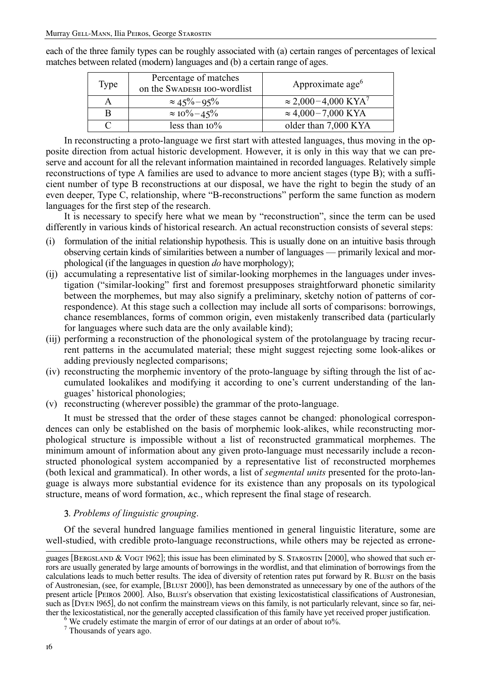each of the three family types can be roughly associated with (a) certain ranges of percentages of lexical matches between related (modern) languages and (b) a certain range of ages.

| Type | Percentage of matches<br>on the SWADESH 100-wordlist | Approximate age <sup>6</sup>           |
|------|------------------------------------------------------|----------------------------------------|
|      | $\approx 45\% - 95\%$                                | $\approx$ 2,000-4,000 KYA <sup>7</sup> |
| R    | $\approx 10\% - 45\%$                                | $\approx 4,000 - 7,000$ KYA            |
|      | less than $10\%$                                     | older than 7,000 KYA                   |

In reconstructing a proto-language we first start with attested languages, thus moving in the opposite direction from actual historic development. However, it is only in this way that we can preserve and account for all the relevant information maintained in recorded languages. Relatively simple reconstructions of type A families are used to advance to more ancient stages (type B); with a sufficient number of type B reconstructions at our disposal, we have the right to begin the study of an even deeper, Type C, relationship, where "B-reconstructions" perform the same function as modern languages for the first step of the research.

It is necessary to specify here what we mean by "reconstruction", since the term can be used differently in various kinds of historical research. An actual reconstruction consists of several steps:

- (i) formulation of the initial relationship hypothesis. This is usually done on an intuitive basis through observing certain kinds of similarities between a number of languages — primarily lexical and morphological (if the languages in question do have morphology);
- (ij) accumulating a representative list of similar-looking morphemes in the languages under investigation ("similar-looking" first and foremost presupposes straightforward phonetic similarity between the morphemes, but may also signify a preliminary, sketchy notion of patterns of correspondence). At this stage such a collection may include all sorts of comparisons: borrowings, chance resemblances, forms of common origin, even mistakenly transcribed data (particularly for languages where such data are the only available kind);
- (iij) performing a reconstruction of the phonological system of the protolanguage by tracing recurrent patterns in the accumulated material; these might suggest rejecting some look-alikes or adding previously neglected comparisons;
- (iv) reconstructing the morphemic inventory of the proto-language by sifting through the list of accumulated lookalikes and modifying it according to one's current understanding of the languages' historical phonologies;
- (v) reconstructing (wherever possible) the grammar of the proto-language.

It must be stressed that the order of these stages cannot be changed: phonological correspondences can only be established on the basis of morphemic look-alikes, while reconstructing morphological structure is impossible without a list of reconstructed grammatical morphemes. The minimum amount of information about any given proto-language must necessarily include a reconstructed phonological system accompanied by a representative list of reconstructed morphemes (both lexical and grammatical). In other words, a list of segmental units presented for the proto-language is always more substantial evidence for its existence than any proposals on its typological structure, means of word formation, ¤c., which represent the final stage of research.

# 3. Problems of linguistic grouping.

Of the several hundred language families mentioned in general linguistic literature, some are well-studied, with credible proto-language reconstructions, while others may be rejected as errone-

guages [BERGSLAND & VOGT 1962]; this issue has been eliminated by S. STAROSTIN [2000], who showed that such errors are usually generated by large amounts of borrowings in the wordlist, and that elimination of borrowings from the calculations leads to much better results. The idea of diversity of retention rates put forward by R. BLUST on the basis of Austronesian, (see, for example, [Blust 2000]), has been demonstrated as unnecessary by one of the authors of the present article [Peiros 2000]. Also, Blust's observation that existing lexicostatistical classifications of Austronesian, such as [Dyen 1965], do not confirm the mainstream views on this family, is not particularly relevant, since so far, neither the lexicostatistical, nor the generally accepted classification of this family have yet received proper justification. <sup>6</sup>

We crudely estimate the margin of error of our datings at an order of about 10%.

<sup>7</sup> Thousands of years ago.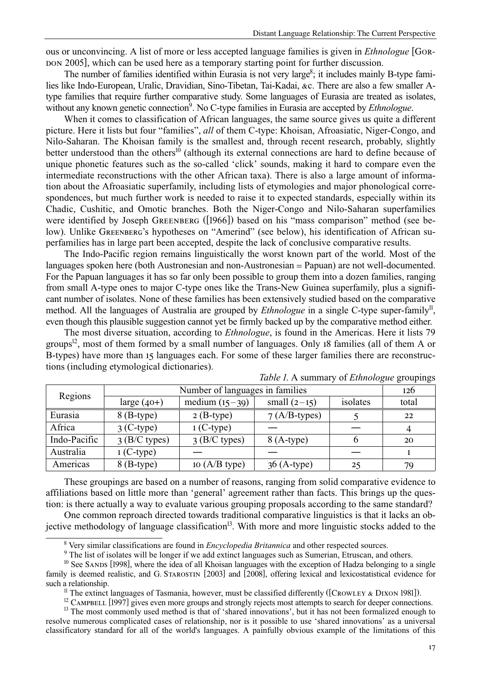ous or unconvincing. A list of more or less accepted language families is given in Ethnologue [Gorbon 2005], which can be used here as a temporary starting point for further discussion.

The number of families identified within Eurasia is not very large<sup>8</sup>; it includes mainly B-type families like Indo-European, Uralic, Dravidian, Sino-Tibetan, Tai-Kadai, ¤c. There are also a few smaller Atype families that require further comparative study. Some languages of Eurasia are treated as isolates, without any known genetic connection<sup>9</sup>. No C-type families in Eurasia are accepted by *Ethnologue*.

When it comes to classification of African languages, the same source gives us quite a different picture. Here it lists but four "families", all of them C-type: Khoisan, Afroasiatic, Niger-Congo, and Nilo-Saharan. The Khoisan family is the smallest and, through recent research, probably, slightly better understood than the others<sup>10</sup> (although its external connections are hard to define because of unique phonetic features such as the so-called 'click' sounds, making it hard to compare even the intermediate reconstructions with the other African taxa). There is also a large amount of information about the Afroasiatic superfamily, including lists of etymologies and major phonological correspondences, but much further work is needed to raise it to expected standards, especially within its Chadic, Cushitic, and Omotic branches. Both the Niger-Congo and Nilo-Saharan superfamilies were identified by Joseph GREENBERG ([1966]) based on his "mass comparison" method (see below). Unlike GREENBERG's hypotheses on "Amerind" (see below), his identification of African superfamilies has in large part been accepted, despite the lack of conclusive comparative results.

The Indo-Pacific region remains linguistically the worst known part of the world. Most of the languages spoken here (both Austronesian and non-Austronesian = Papuan) are not well-documented. For the Papuan languages it has so far only been possible to group them into a dozen families, ranging from small A-type ones to major C-type ones like the Trans-New Guinea superfamily, plus a significant number of isolates. None of these families has been extensively studied based on the comparative method. All the languages of Australia are grouped by *Ethnologue* in a single C-type super-family<sup>11</sup>, even though this plausible suggestion cannot yet be firmly backed up by the comparative method either.

The most diverse situation, according to *Ethnologue*, is found in the Americas. Here it lists 79 groups<sup>12</sup>, most of them formed by a small number of languages. Only 18 families (all of them A or B-types) have more than 15 languages each. For some of these larger families there are reconstructions (including etymological dictionaries).

| Regions      | Number of languages in families |                  |                |          | 126   |
|--------------|---------------------------------|------------------|----------------|----------|-------|
|              | large $(40+)$                   | medium $(15-39)$ | small $(2-15)$ | isolates | total |
| Eurasia      | $8$ (B-type)                    | $2$ (B-type)     | $7(A/B-types)$ |          | 22    |
| Africa       | $3$ (C-type)                    | $1$ (C-type)     |                |          | 4     |
| Indo-Pacific | $3$ (B/C types)                 | $3$ (B/C types)  | $8(A-type)$    | b        | 20    |
| Australia    | $1$ (C-type)                    |                  |                |          |       |
| Americas     | $8$ (B-type)                    | 10(A/B type)     | $36(A-type)$   | 25       | 79    |

Table *1*. A summary of Ethnologue groupings

These groupings are based on a number of reasons, ranging from solid comparative evidence to affiliations based on little more than 'general' agreement rather than facts. This brings up the question: is there actually a way to evaluate various grouping proposals according to the same standard?

One common reproach directed towards traditional comparative linguistics is that it lacks an objective methodology of language classification<sup>13</sup>. With more and more linguistic stocks added to the

 $\frac{8}{3}$  $8$  Very similar classifications are found in *Encyclopedia Britannica* and other respected sources.

<sup>&</sup>lt;sup>9</sup> The list of isolates will be longer if we add extinct languages such as Sumerian, Etruscan, and others.

<sup>&</sup>lt;sup>10</sup> See SANDS [1998], where the idea of all Khoisan languages with the exception of Hadza belonging to a single family is deemed realistic, and G. STAROSTIN [2003] and [2008], offering lexical and lexicostatistical evidence for such a relationship.<br><sup>Il</sup> The extinct languages of Tasmania, however, must be classified differently ([CROWLEY & DIXON 1981]).

<sup>&</sup>lt;sup>12</sup> CAMPBELL [1997] gives even more groups and strongly rejects most attempts to search for deeper connections.<br><sup>13</sup> The most commonly used method is that of 'shared innovations', but it has not been formalized enough to

resolve numerous complicated cases of relationship, nor is it possible to use 'shared innovations' as a universal classificatory standard for all of the world's languages. A painfully obvious example of the limitations of this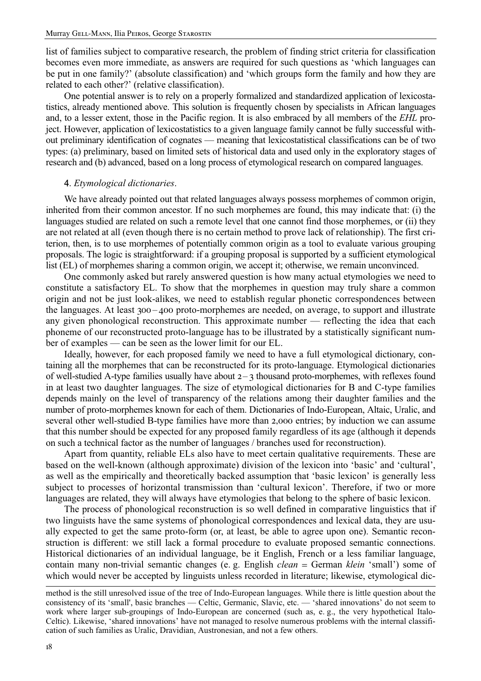list of families subject to comparative research, the problem of finding strict criteria for classification becomes even more immediate, as answers are required for such questions as 'which languages can be put in one family?' (absolute classification) and 'which groups form the family and how they are related to each other?' (relative classification).

One potential answer is to rely on a properly formalized and standardized application of lexicostatistics, already mentioned above. This solution is frequently chosen by specialists in African languages and, to a lesser extent, those in the Pacific region. It is also embraced by all members of the EHL project. However, application of lexicostatistics to a given language family cannot be fully successful without preliminary identification of cognates — meaning that lexicostatistical classifications can be of two types: (a) preliminary, based on limited sets of historical data and used only in the exploratory stages of research and (b) advanced, based on a long process of etymological research on compared languages.

## 4. Etymological dictionaries.

We have already pointed out that related languages always possess morphemes of common origin, inherited from their common ancestor. If no such morphemes are found, this may indicate that: (i) the languages studied are related on such a remote level that one cannot find those morphemes, or (ii) they are not related at all (even though there is no certain method to prove lack of relationship). The first criterion, then, is to use morphemes of potentially common origin as a tool to evaluate various grouping proposals. The logic is straightforward: if a grouping proposal is supported by a sufficient etymological list (EL) of morphemes sharing a common origin, we accept it; otherwise, we remain unconvinced.

One commonly asked but rarely answered question is how many actual etymologies we need to constitute a satisfactory EL. To show that the morphemes in question may truly share a common origin and not be just look-alikes, we need to establish regular phonetic correspondences between the languages. At least 300 – 400 proto-morphemes are needed, on average, to support and illustrate any given phonological reconstruction. This approximate number — reflecting the idea that each phoneme of our reconstructed proto-language has to be illustrated by a statistically significant number of examples — can be seen as the lower limit for our EL.

Ideally, however, for each proposed family we need to have a full etymological dictionary, containing all the morphemes that can be reconstructed for its proto-language. Etymological dictionaries of well-studied A-type families usually have about  $2 - 3$  thousand proto-morphemes, with reflexes found in at least two daughter languages. The size of etymological dictionaries for B and C-type families depends mainly on the level of transparency of the relations among their daughter families and the number of proto-morphemes known for each of them. Dictionaries of Indo-European, Altaic, Uralic, and several other well-studied B-type families have more than 2,000 entries; by induction we can assume that this number should be expected for any proposed family regardless of its age (although it depends on such a technical factor as the number of languages / branches used for reconstruction).

Apart from quantity, reliable ELs also have to meet certain qualitative requirements. These are based on the well-known (although approximate) division of the lexicon into 'basic' and 'cultural', as well as the empirically and theoretically backed assumption that 'basic lexicon' is generally less subject to processes of horizontal transmission than 'cultural lexicon'. Therefore, if two or more languages are related, they will always have etymologies that belong to the sphere of basic lexicon.

The process of phonological reconstruction is so well defined in comparative linguistics that if two linguists have the same systems of phonological correspondences and lexical data, they are usually expected to get the same proto-form (or, at least, be able to agree upon one). Semantic reconstruction is different: we still lack a formal procedure to evaluate proposed semantic connections. Historical dictionaries of an individual language, be it English, French or a less familiar language, contain many non-trivial semantic changes (e. g. English *clean* = German *klein* 'small') some of which would never be accepted by linguists unless recorded in literature; likewise, etymological dic-

method is the still unresolved issue of the tree of Indo-European languages. While there is little question about the consistency of its 'small', basic branches — Celtic, Germanic, Slavic, etc. — 'shared innovations' do not seem to work where larger sub-groupings of Indo-European are concerned (such as, e. g., the very hypothetical Italo-Celtic). Likewise, 'shared innovations' have not managed to resolve numerous problems with the internal classification of such families as Uralic, Dravidian, Austronesian, and not a few others.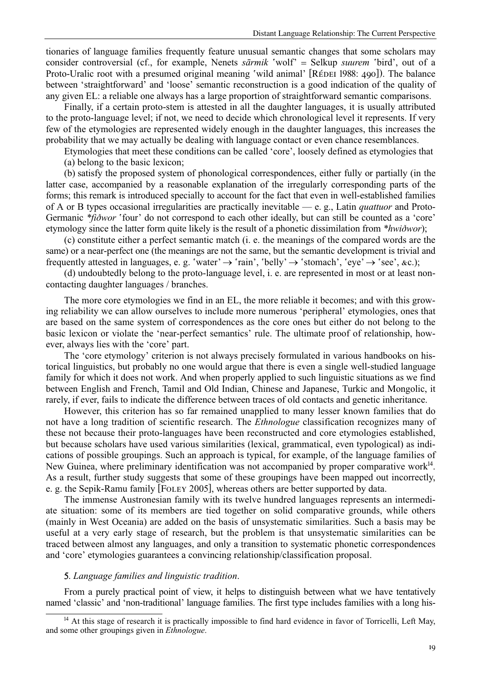tionaries of language families frequently feature unusual semantic changes that some scholars may consider controversial (cf., for example, Nenets sārmik 'wolf' = Selkup suurem 'bird', out of a Proto-Uralic root with a presumed original meaning 'wild animal' [RÉDEI 1988: 490]). The balance between 'straightforward' and 'loose' semantic reconstruction is a good indication of the quality of any given EL: a reliable one always has a large proportion of straightforward semantic comparisons.

Finally, if a certain proto-stem is attested in all the daughter languages, it is usually attributed to the proto-language level; if not, we need to decide which chronological level it represents. If very few of the etymologies are represented widely enough in the daughter languages, this increases the probability that we may actually be dealing with language contact or even chance resemblances.

Etymologies that meet these conditions can be called 'core', loosely defined as etymologies that

(a) belong to the basic lexicon;

(b) satisfy the proposed system of phonological correspondences, either fully or partially (in the latter case, accompanied by a reasonable explanation of the irregularly corresponding parts of the forms; this remark is introduced specially to account for the fact that even in well-established families of A or B types occasional irregularities are practically inevitable — e. g., Latin *quattuor* and Proto-Germanic \*fiðwor 'four' do not correspond to each other ideally, but can still be counted as a 'core' etymology since the latter form quite likely is the result of a phonetic dissimilation from \*hwiðwor);

(c) constitute either a perfect semantic match (i. e. the meanings of the compared words are the same) or a near-perfect one (the meanings are not the same, but the semantic development is trivial and frequently attested in languages, e. g. 'water'  $\rightarrow$  'rain', 'belly'  $\rightarrow$  'stomach', 'eye'  $\rightarrow$  'see', &c.);

(d) undoubtedly belong to the proto-language level, i. e. are represented in most or at least noncontacting daughter languages / branches.

The more core etymologies we find in an EL, the more reliable it becomes; and with this growing reliability we can allow ourselves to include more numerous 'peripheral' etymologies, ones that are based on the same system of correspondences as the core ones but either do not belong to the basic lexicon or violate the 'near-perfect semantics' rule. The ultimate proof of relationship, however, always lies with the 'core' part.

The 'core etymology' criterion is not always precisely formulated in various handbooks on historical linguistics, but probably no one would argue that there is even a single well-studied language family for which it does not work. And when properly applied to such linguistic situations as we find between English and French, Tamil and Old Indian, Chinese and Japanese, Turkic and Mongolic, it rarely, if ever, fails to indicate the difference between traces of old contacts and genetic inheritance.

However, this criterion has so far remained unapplied to many lesser known families that do not have a long tradition of scientific research. The *Ethnologue* classification recognizes many of these not because their proto-languages have been reconstructed and core etymologies established, but because scholars have used various similarities (lexical, grammatical, even typological) as indications of possible groupings. Such an approach is typical, for example, of the language families of New Guinea, where preliminary identification was not accompanied by proper comparative work<sup>14</sup>. As a result, further study suggests that some of these groupings have been mapped out incorrectly, e. g. the Sepik-Ramu family [Foley 2005], whereas others are better supported by data.

The immense Austronesian family with its twelve hundred languages represents an intermediate situation: some of its members are tied together on solid comparative grounds, while others (mainly in West Oceania) are added on the basis of unsystematic similarities. Such a basis may be useful at a very early stage of research, but the problem is that unsystematic similarities can be traced between almost any languages, and only a transition to systematic phonetic correspondences and 'core' etymologies guarantees a convincing relationship/classification proposal.

## 5. Language families and linguistic tradition.

From a purely practical point of view, it helps to distinguish between what we have tentatively named 'classic' and 'non-traditional' language families. The first type includes families with a long his-

<sup>&</sup>lt;sup>14</sup> At this stage of research it is practically impossible to find hard evidence in favor of Torricelli, Left May, and some other groupings given in Ethnologue.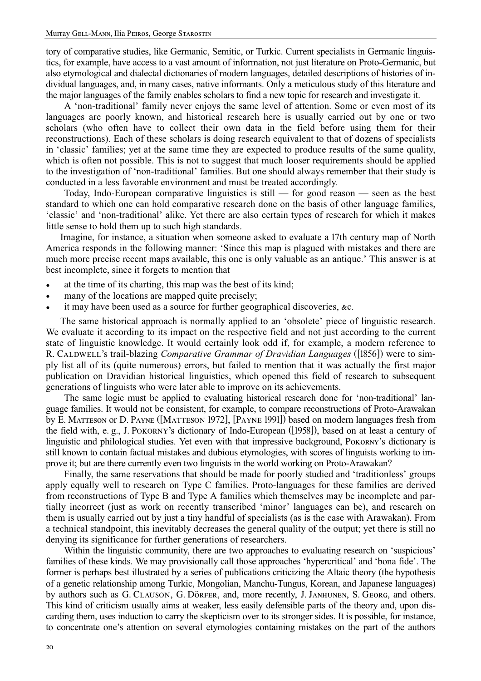tory of comparative studies, like Germanic, Semitic, or Turkic. Current specialists in Germanic linguistics, for example, have access to a vast amount of information, not just literature on Proto-Germanic, but also etymological and dialectal dictionaries of modern languages, detailed descriptions of histories of individual languages, and, in many cases, native informants. Only a meticulous study of this literature and the major languages of the family enables scholars to find a new topic for research and investigate it.

A 'non-traditional' family never enjoys the same level of attention. Some or even most of its languages are poorly known, and historical research here is usually carried out by one or two scholars (who often have to collect their own data in the field before using them for their reconstructions). Each of these scholars is doing research equivalent to that of dozens of specialists in 'classic' families; yet at the same time they are expected to produce results of the same quality, which is often not possible. This is not to suggest that much looser requirements should be applied to the investigation of 'non-traditional' families. But one should always remember that their study is conducted in a less favorable environment and must be treated accordingly.

Today, Indo-European comparative linguistics is still — for good reason — seen as the best standard to which one can hold comparative research done on the basis of other language families, 'classic' and 'non-traditional' alike. Yet there are also certain types of research for which it makes little sense to hold them up to such high standards.

Imagine, for instance, a situation when someone asked to evaluate a 17th century map of North America responds in the following manner: 'Since this map is plagued with mistakes and there are much more precise recent maps available, this one is only valuable as an antique.' This answer is at best incomplete, since it forgets to mention that

- at the time of its charting, this map was the best of its kind;
- many of the locations are mapped quite precisely;
- it may have been used as a source for further geographical discoveries,  $\&c$ .

The same historical approach is normally applied to an 'obsolete' piece of linguistic research. We evaluate it according to its impact on the respective field and not just according to the current state of linguistic knowledge. It would certainly look odd if, for example, a modern reference to R. CALDWELL's trail-blazing *Comparative Grammar of Dravidian Languages* ([1856]) were to simply list all of its (quite numerous) errors, but failed to mention that it was actually the first major publication on Dravidian historical linguistics, which opened this field of research to subsequent generations of linguists who were later able to improve on its achievements.

The same logic must be applied to evaluating historical research done for 'non-traditional' language families. It would not be consistent, for example, to compare reconstructions of Proto-Arawakan by E. Matteson or D. Payne ([Matteson 1972], [Payne 1991]) based on modern languages fresh from the field with, e. g., J. Pokorny's dictionary of Indo-European ([1958]), based on at least a century of linguistic and philological studies. Yet even with that impressive background, Pokorny's dictionary is still known to contain factual mistakes and dubious etymologies, with scores of linguists working to improve it; but are there currently even two linguists in the world working on Proto-Arawakan?

Finally, the same reservations that should be made for poorly studied and 'traditionless' groups apply equally well to research on Type C families. Proto-languages for these families are derived from reconstructions of Type B and Type A families which themselves may be incomplete and partially incorrect (just as work on recently transcribed 'minor' languages can be), and research on them is usually carried out by just a tiny handful of specialists (as is the case with Arawakan). From a technical standpoint, this inevitably decreases the general quality of the output; yet there is still no denying its significance for further generations of researchers.

Within the linguistic community, there are two approaches to evaluating research on 'suspicious' families of these kinds. We may provisionally call those approaches 'hypercritical' and 'bona fide'. The former is perhaps best illustrated by a series of publications criticizing the Altaic theory (the hypothesis of a genetic relationship among Turkic, Mongolian, Manchu-Tungus, Korean, and Japanese languages) by authors such as G. Clauson, G. Dörfer, and, more recently, J. Janhunen, S. Georg, and others. This kind of criticism usually aims at weaker, less easily defensible parts of the theory and, upon discarding them, uses induction to carry the skepticism over to its stronger sides. It is possible, for instance, to concentrate one's attention on several etymologies containing mistakes on the part of the authors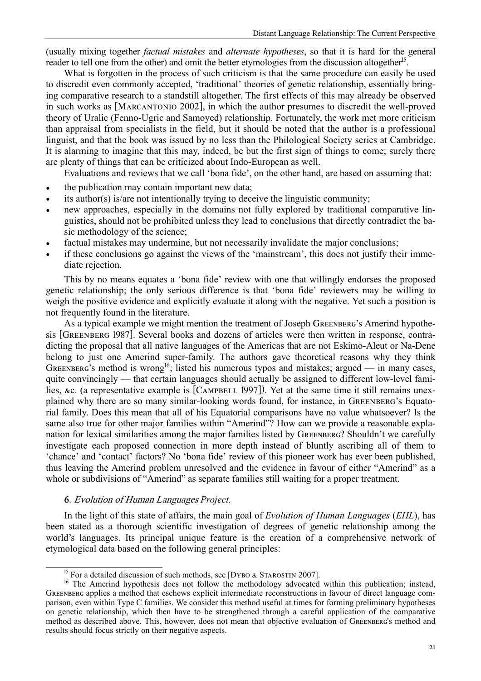(usually mixing together factual mistakes and alternate hypotheses, so that it is hard for the general reader to tell one from the other) and omit the better etymologies from the discussion altogether<sup>15</sup>.

What is forgotten in the process of such criticism is that the same procedure can easily be used to discredit even commonly accepted, 'traditional' theories of genetic relationship, essentially bringing comparative research to a standstill altogether. The first effects of this may already be observed in such works as [Marcantonio 2002], in which the author presumes to discredit the well-proved theory of Uralic (Fenno-Ugric and Samoyed) relationship. Fortunately, the work met more criticism than appraisal from specialists in the field, but it should be noted that the author is a professional linguist, and that the book was issued by no less than the Philological Society series at Cambridge. It is alarming to imagine that this may, indeed, be but the first sign of things to come; surely there are plenty of things that can be criticized about Indo-European as well.

Evaluations and reviews that we call 'bona fide', on the other hand, are based on assuming that:

- the publication may contain important new data;
- its author(s) is/are not intentionally trying to deceive the linguistic community;
- new approaches, especially in the domains not fully explored by traditional comparative linguistics, should not be prohibited unless they lead to conclusions that directly contradict the basic methodology of the science;
- factual mistakes may undermine, but not necessarily invalidate the major conclusions;
- if these conclusions go against the views of the 'mainstream', this does not justify their immediate rejection.

This by no means equates a 'bona fide' review with one that willingly endorses the proposed genetic relationship; the only serious difference is that 'bona fide' reviewers may be willing to weigh the positive evidence and explicitly evaluate it along with the negative. Yet such a position is not frequently found in the literature.

As a typical example we might mention the treatment of Joseph GREENBERG's Amerind hypothesis [Greenberg 1987]. Several books and dozens of articles were then written in response, contradicting the proposal that all native languages of the Americas that are not Eskimo-Aleut or Na-Dene belong to just one Amerind super-family. The authors gave theoretical reasons why they think GREENBERG's method is wrong<sup>16</sup>; listed his numerous typos and mistakes; argued — in many cases, quite convincingly — that certain languages should actually be assigned to different low-level families, &c. (a representative example is  $[CamPELL 1997]$ ). Yet at the same time it still remains unexplained why there are so many similar-looking words found, for instance, in Greenberg's Equatorial family. Does this mean that all of his Equatorial comparisons have no value whatsoever? Is the same also true for other major families within "Amerind"? How can we provide a reasonable explanation for lexical similarities among the major families listed by Greenberg? Shouldn't we carefully investigate each proposed connection in more depth instead of bluntly ascribing all of them to 'chance' and 'contact' factors? No 'bona fide' review of this pioneer work has ever been published, thus leaving the Amerind problem unresolved and the evidence in favour of either "Amerind" as a whole or subdivisions of "Amerind" as separate families still waiting for a proper treatment.

## <sup>6</sup>. Evolution of Human Languages Project.

In the light of this state of affairs, the main goal of *Evolution of Human Languages (EHL)*, has been stated as a thorough scientific investigation of degrees of genetic relationship among the world's languages. Its principal unique feature is the creation of a comprehensive network of etymological data based on the following general principles:

<sup>&</sup>lt;sup>15</sup> For a detailed discussion of such methods, see [DYBO & STAROSTIN 2007].

<sup>&</sup>lt;sup>16</sup> The Amerind hypothesis does not follow the methodology advocated within this publication; instead, Greenberg applies a method that eschews explicit intermediate reconstructions in favour of direct language comparison, even within Type C families. We consider this method useful at times for forming preliminary hypotheses on genetic relationship, which then have to be strengthened through a careful application of the comparative method as described above. This, however, does not mean that objective evaluation of Greenberg's method and results should focus strictly on their negative aspects.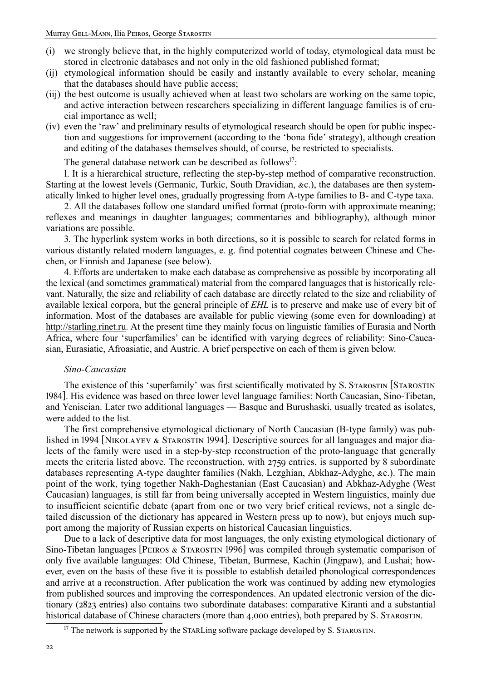- (i) we strongly believe that, in the highly computerized world of today, etymological data must be stored in electronic databases and not only in the old fashioned published format;
- (ij) etymological information should be easily and instantly available to every scholar, meaning that the databases should have public access;
- (iij) the best outcome is usually achieved when at least two scholars are working on the same topic, and active interaction between researchers specializing in different language families is of crucial importance as well;
- (iv) even the 'raw' and preliminary results of etymological research should be open for public inspection and suggestions for improvement (according to the 'bona fide' strategy), although creation and editing of the databases themselves should, of course, be restricted to specialists.

The general database network can be described as follows<sup>17</sup>:

1. It is a hierarchical structure, reflecting the step-by-step method of comparative reconstruction. Starting at the lowest levels (Germanic, Turkic, South Dravidian, &c.), the databases are then systematically linked to higher level ones, gradually progressing from A-type families to B- and C-type taxa.

2. All the databases follow one standard unified format (proto-form with approximate meaning; reflexes and meanings in daughter languages; commentaries and bibliography), although minor variations are possible.

3. The hyperlink system works in both directions, so it is possible to search for related forms in various distantly related modern languages, e. g. find potential cognates between Chinese and Chechen, or Finnish and Japanese (see below).

4. Efforts are undertaken to make each database as comprehensive as possible by incorporating all the lexical (and sometimes grammatical) material from the compared languages that is historically relevant. Naturally, the size and reliability of each database are directly related to the size and reliability of available lexical corpora, but the general principle of EHL is to preserve and make use of every bit of information. Most of the databases are available for public viewing (some even for downloading) at http ://starling.rinet.ru. At the present time they mainly focus on linguistic families of Eurasia and North Africa, where four 'superfamilies' can be identified with varying degrees of reliability: Sino-Caucasian, Eurasiatic, Afroasiatic, and Austric. A brief perspective on each of them is given below.

#### Sino-Caucasian

The existence of this 'superfamily' was first scientifically motivated by S. STAROSTIN [STAROSTIN] 1984]. His evidence was based on three lower level language families: North Caucasian, Sino-Tibetan, and Yeniseian. Later two additional languages — Basque and Burushaski, usually treated as isolates, were added to the list.

The first comprehensive etymological dictionary of North Caucasian (B-type family) was published in 1994 [NIKOLAYEV & STAROSTIN 1994]. Descriptive sources for all languages and major dialects of the family were used in a step-by-step reconstruction of the proto-language that generally meets the criteria listed above. The reconstruction, with 2759 entries, is supported by 8 subordinate databases representing A-type daughter families (Nakh, Lezghian, Abkhaz-Adyghe, &c.). The main point of the work, tying together Nakh-Daghestanian (East Caucasian) and Abkhaz-Adyghe (West Caucasian) languages, is still far from being universally accepted in Western linguistics, mainly due to insufficient scientific debate (apart from one or two very brief critical reviews, not a single detailed discussion of the dictionary has appeared in Western press up to now), but enjoys much support among the majority of Russian experts on historical Caucasian linguistics.

Due to a lack of descriptive data for most languages, the only existing etymological dictionary of Sino-Tibetan languages [PEIROS & STAROSTIN 1996] was compiled through systematic comparison of only five available languages: Old Chinese, Tibetan, Burmese, Kachin (Jingpaw), and Lushai; however, even on the basis of these five it is possible to establish detailed phonological correspondences and arrive at a reconstruction. After publication the work was continued by adding new etymologies from published sources and improving the correspondences. An updated electronic version of the dictionary (2823 entries) also contains two subordinate databases: comparative Kiranti and a substantial historical database of Chinese characters (more than 4,000 entries), both prepared by S. STAROSTIN.<br><sup>17</sup> The network is supported by the STARLing software package developed by S. STAROSTIN.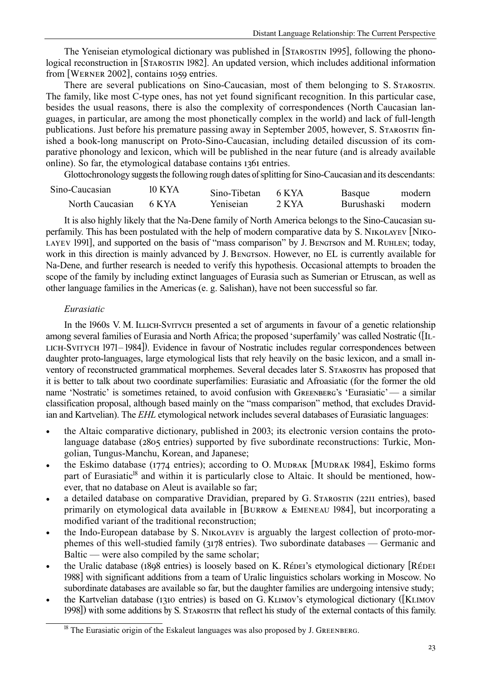The Yeniseian etymological dictionary was published in [STAROSTIN 1995], following the phonological reconstruction in [STAROSTIN 1982]. An updated version, which includes additional information from [Werner 2002], contains 1059 entries.

There are several publications on Sino-Caucasian, most of them belonging to S. STAROSTIN. The family, like most C-type ones, has not yet found significant recognition. In this particular case, besides the usual reasons, there is also the complexity of correspondences (North Caucasian languages, in particular, are among the most phonetically complex in the world) and lack of full-length publications. Just before his premature passing away in September 2005, however, S. STAROSTIN finished a book-long manuscript on Proto-Sino-Caucasian, including detailed discussion of its comparative phonology and lexicon, which will be published in the near future (and is already available online). So far, the etymological database contains 1361 entries.

Glottochronology suggests the following rough dates of splitting for Sino-Caucasian and its descendants:

| Sino-Caucasian  | 10 KYA  | Sino-Tibetan | 6 KYA   | <b>Basque</b> | modern |
|-----------------|---------|--------------|---------|---------------|--------|
| North Caucasian | 6 K Y A | Yeniseian    | $2$ KYA | Burushaski    | modern |

It is also highly likely that the Na-Dene family of North America belongs to the Sino-Caucasian superfamily. This has been postulated with the help of modern comparative data by S. NIKOLAYEV [NIKO-LAYEV 1991], and supported on the basis of "mass comparison" by J. BENGTSON and M. RUHLEN; today, work in this direction is mainly advanced by J. BENGTSON. However, no EL is currently available for Na-Dene, and further research is needed to verify this hypothesis. Occasional attempts to broaden the scope of the family by including extinct languages of Eurasia such as Sumerian or Etruscan, as well as other language families in the Americas (e. g. Salishan), have not been successful so far.

## Eurasiatic

In the 1960s V. M. ILLICH-SVITYCH presented a set of arguments in favour of a genetic relationship among several families of Eurasia and North Africa; the proposed 'superfamily' was called Nostratic ([IL-LICH-SVITYCH 1971–1984]). Evidence in favour of Nostratic includes regular correspondences between daughter proto-languages, large etymological lists that rely heavily on the basic lexicon, and a small inventory of reconstructed grammatical morphemes. Several decades later S. STAROSTIN has proposed that it is better to talk about two coordinate superfamilies: Eurasiatic and Afroasiatic (for the former the old name 'Nostratic' is sometimes retained, to avoid confusion with GREENBERG's 'Eurasiatic' — a similar classification proposal, although based mainly on the "mass comparison" method, that excludes Dravidian and Kartvelian). The *EHL* etymological network includes several databases of Eurasiatic languages:

- the Altaic comparative dictionary, published in 2003; its electronic version contains the protolanguage database (2805 entries) supported by five subordinate reconstructions: Turkic, Mongolian, Tungus-Manchu, Korean, and Japanese;
- the Eskimo database (1774 entries); according to O. MUDRAK [MUDRAK 1984], Eskimo forms part of Eurasiatic<sup>18</sup> and within it is particularly close to Altaic. It should be mentioned, however, that no database on Aleut is available so far;
- a detailed database on comparative Dravidian, prepared by G. STAROSTIN (2211 entries), based primarily on etymological data available in [BURROW & EMENEAU 1984], but incorporating a modified variant of the traditional reconstruction;
- the Indo-European database by S. NIKOLAYEV is arguably the largest collection of proto-morphemes of this well-studied family (3178 entries). Two subordinate databases — Germanic and Baltic — were also compiled by the same scholar;
- the Uralic database (1898 entries) is loosely based on K. Rédei's etymological dictionary  $[$ Rédei 1988] with significant additions from a team of Uralic linguistics scholars working in Moscow. No subordinate databases are available so far, but the daughter families are undergoing intensive study;
- the Kartvelian database (1310 entries) is based on G. KLIMOV's etymological dictionary ([KLIMOV 1998]) with some additions by S. STAROSTIN that reflect his study of the external contacts of this family.

 $18$  The Eurasiatic origin of the Eskaleut languages was also proposed by J. GREENBERG.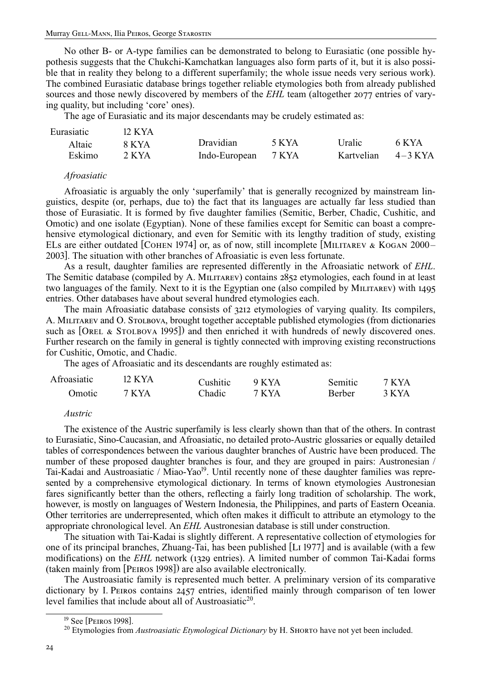Murray Gell-Mann, Ilia Peiros, George Starostin

No other B- or A-type families can be demonstrated to belong to Eurasiatic (one possible hypothesis suggests that the Chukchi-Kamchatkan languages also form parts of it, but it is also possible that in reality they belong to a different superfamily; the whole issue needs very serious work). The combined Eurasiatic database brings together reliable etymologies both from already published sources and those newly discovered by members of the *EHL* team (altogether 2077 entries of varying quality, but including 'core' ones).

The age of Eurasiatic and its major descendants may be crudely estimated as:

| Eurasiatic | 12 K Y A |                     |         |                      |       |
|------------|----------|---------------------|---------|----------------------|-------|
| Altaic     | 8 K Y A  | Dravidian           | 5 K Y A | Uralic               | 6 KYA |
| Eskimo.    | 2 KYA    | Indo-European 7 KYA |         | Kartvelian $4-3$ KYA |       |

## Afroasiatic

Afroasiatic is arguably the only 'superfamily' that is generally recognized by mainstream linguistics, despite (or, perhaps, due to) the fact that its languages are actually far less studied than those of Eurasiatic. It is formed by five daughter families (Semitic, Berber, Chadic, Cushitic, and Omotic) and one isolate (Egyptian). None of these families except for Semitic can boast a comprehensive etymological dictionary, and even for Semitic with its lengthy tradition of study, existing ELs are either outdated [COHEN 1974] or, as of now, still incomplete [MILITAREV & KOGAN 2000– 2003]. The situation with other branches of Afroasiatic is even less fortunate.

As a result, daughter families are represented differently in the Afroasiatic network of EHL. The Semitic database (compiled by A. MILITAREV) contains 2852 etymologies, each found in at least two languages of the family. Next to it is the Egyptian one (also compiled by MILITAREV) with 1495 entries. Other databases have about several hundred etymologies each.

The main Afroasiatic database consists of 3212 etymologies of varying quality. Its compilers, A. MILITAREV and O. STOLBOVA, brought together acceptable published etymologies (from dictionaries such as  $[OREL & STOLBOVA 1995]$  and then enriched it with hundreds of newly discovered ones. Further research on the family in general is tightly connected with improving existing reconstructions for Cushitic, Omotic, and Chadic.

The ages of Afroasiatic and its descendants are roughly estimated as:

| Afroasiatic | 12 KYA  | Cushitic | 9 KYA   | Semitic | 7 K Y A |
|-------------|---------|----------|---------|---------|---------|
| Omotic      | 7 K Y A | Chadic   | 7 K Y A | Berber  | 3 K Y A |

## Austric

The existence of the Austric superfamily is less clearly shown than that of the others. In contrast to Eurasiatic, Sino-Caucasian, and Afroasiatic, no detailed proto-Austric glossaries or equally detailed tables of correspondences between the various daughter branches of Austric have been produced. The number of these proposed daughter branches is four, and they are grouped in pairs: Austronesian / Tai-Kadai and Austroasiatic / Miao-Yao<sup>19</sup>. Until recently none of these daughter families was represented by a comprehensive etymological dictionary. In terms of known etymologies Austronesian fares significantly better than the others, reflecting a fairly long tradition of scholarship. The work, however, is mostly on languages of Western Indonesia, the Philippines, and parts of Eastern Oceania. Other territories are underrepresented, which often makes it difficult to attribute an etymology to the appropriate chronological level. An EHL Austronesian database is still under construction.

The situation with Tai-Kadai is slightly different. A representative collection of etymologies for one of its principal branches, Zhuang-Tai, has been published [Li 1977] and is available (with a few modifications) on the EHL network (1329 entries). A limited number of common Tai-Kadai forms (taken mainly from [Peiros 1998]) are also available electronically.

The Austroasiatic family is represented much better. A preliminary version of its comparative dictionary by I. Peiros contains 2457 entries, identified mainly through comparison of ten lower level families that include about all of Austroasiatic<sup>20</sup>.

<sup>&</sup>lt;sup>19</sup> See [PEIROS 1998].<br><sup>20</sup> Etymologies from *Austroasiatic Etymological Dictionary* by H. SHORTO have not yet been included.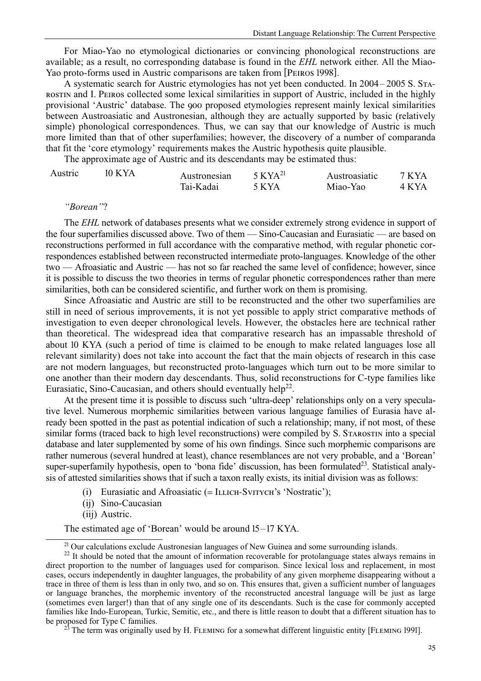For Miao-Yao no etymological dictionaries or convincing phonological reconstructions are available; as a result, no corresponding database is found in the EHL network either. All the Miao-Yao proto-forms used in Austric comparisons are taken from [Peiros 1998].

A systematic search for Austric etymologies has not yet been conducted. In 2004– 2005 S. Starostin and I. Peiros collected some lexical similarities in support of Austric, included in the highly provisional 'Austric' database. The 900 proposed etymologies represent mainly lexical similarities between Austroasiatic and Austronesian, although they are actually supported by basic (relatively simple) phonological correspondences. Thus, we can say that our knowledge of Austric is much more limited than that of other superfamilies; however, the discovery of a number of comparanda that fit the 'core etymology' requirements makes the Austric hypothesis quite plausible.

The approximate age of Austric and its descendants may be estimated thus:

| Austric | 10 K Y A | Austronesian | 5 KYA <sup>21</sup> | Austroasiatic | 7 KYA |
|---------|----------|--------------|---------------------|---------------|-------|
|         |          | Tai-Kadai    | 5 K YA              | Miao-Yao      | 4 KYA |

"Borean"?

The EHL network of databases presents what we consider extremely strong evidence in support of the four superfamilies discussed above. Two of them — Sino-Caucasian and Eurasiatic — are based on reconstructions performed in full accordance with the comparative method, with regular phonetic correspondences established between reconstructed intermediate proto-languages. Knowledge of the other two — Afroasiatic and Austric — has not so far reached the same level of confidence; however, since it is possible to discuss the two theories in terms of regular phonetic correspondences rather than mere similarities, both can be considered scientific, and further work on them is promising.

Since Afroasiatic and Austric are still to be reconstructed and the other two superfamilies are still in need of serious improvements, it is not yet possible to apply strict comparative methods of investigation to even deeper chronological levels. However, the obstacles here are technical rather than theoretical. The widespread idea that comparative research has an impassable threshold of about 10 KYA (such a period of time is claimed to be enough to make related languages lose all relevant similarity) does not take into account the fact that the main objects of research in this case are not modern languages, but reconstructed proto-languages which turn out to be more similar to one another than their modern day descendants. Thus, solid reconstructions for C-type families like Eurasiatic, Sino-Caucasian, and others should eventually help<sup>22</sup>.

At the present time it is possible to discuss such 'ultra-deep' relationships only on a very speculative level. Numerous morphemic similarities between various language families of Eurasia have already been spotted in the past as potential indication of such a relationship; many, if not most, of these similar forms (traced back to high level reconstructions) were compiled by S. STAROSTIN into a special database and later supplemented by some of his own findings. Since such morphemic comparisons are rather numerous (several hundred at least), chance resemblances are not very probable, and a 'Borean' super-superfamily hypothesis, open to 'bona fide' discussion, has been formulated $^{23}$ . Statistical analysis of attested similarities shows that if such a taxon really exists, its initial division was as follows:

- (i) Eurasiatic and Afroasiatic  $($  ILLICH-SVITYCH's 'Nostratic');
- (ij) Sino-Caucasian
- (iij) Austric.

The estimated age of 'Borean' would be around  $15-17$  KYA.

 $2<sup>3</sup>$  The term was originally used by H. FLEMING for a somewhat different linguistic entity [FLEMING 1991].

 $21$  Our calculations exclude Austronesian languages of New Guinea and some surrounding islands.

<sup>&</sup>lt;sup>22</sup> It should be noted that the amount of information recoverable for protolanguage states always remains in direct proportion to the number of languages used for comparison. Since lexical loss and replacement, in most cases, occurs independently in daughter languages, the probability of any given morpheme disappearing without a trace in three of them is less than in only two, and so on. This ensures that, given a sufficient number of languages or language branches, the morphemic inventory of the reconstructed ancestral language will be just as large (sometimes even larger!) than that of any single one of its descendants. Such is the case for commonly accepted families like Indo-European, Turkic, Semitic, etc., and there is little reason to doubt that a different situation has to be proposed for Type C families.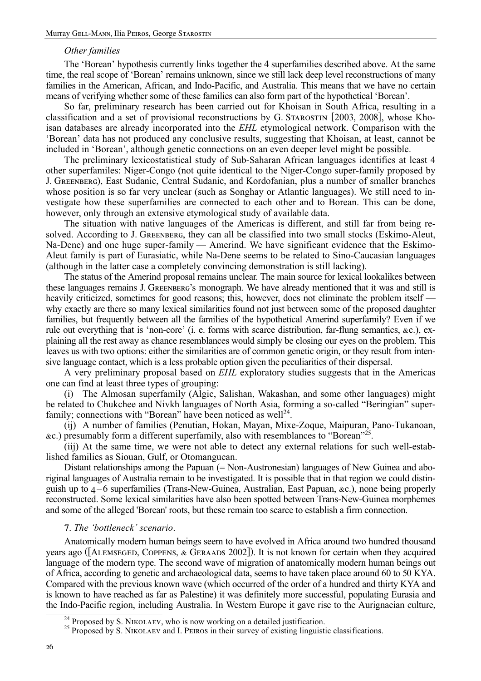#### Other families

The 'Borean' hypothesis currently links together the 4 superfamilies described above. At the same time, the real scope of 'Borean' remains unknown, since we still lack deep level reconstructions of many families in the American, African, and Indo-Pacific, and Australia. This means that we have no certain means of verifying whether some of these families can also form part of the hypothetical 'Borean'.

So far, preliminary research has been carried out for Khoisan in South Africa, resulting in a classification and a set of provisional reconstructions by G. Starostin [2003, 2008], whose Khoisan databases are already incorporated into the EHL etymological network. Comparison with the 'Borean' data has not produced any conclusive results, suggesting that Khoisan, at least, cannot be included in 'Borean', although genetic connections on an even deeper level might be possible.

The preliminary lexicostatistical study of Sub-Saharan African languages identifies at least 4 other superfamiles: Niger-Congo (not quite identical to the Niger-Congo super-family proposed by J. Greenberg), East Sudanic, Central Sudanic, and Kordofanian, plus a number of smaller branches whose position is so far very unclear (such as Songhay or Atlantic languages). We still need to investigate how these superfamilies are connected to each other and to Borean. This can be done, however, only through an extensive etymological study of available data.

The situation with native languages of the Americas is different, and still far from being resolved. According to J. GREENBERG, they can all be classified into two small stocks (Eskimo-Aleut, Na-Dene) and one huge super-family — Amerind. We have significant evidence that the Eskimo-Aleut family is part of Eurasiatic, while Na-Dene seems to be related to Sino-Caucasian languages (although in the latter case a completely convincing demonstration is still lacking).

The status of the Amerind proposal remains unclear. The main source for lexical lookalikes between these languages remains J. Greenberg's monograph. We have already mentioned that it was and still is heavily criticized, sometimes for good reasons; this, however, does not eliminate the problem itself why exactly are there so many lexical similarities found not just between some of the proposed daughter families, but frequently between all the families of the hypothetical Amerind superfamily? Even if we rule out everything that is 'non-core' (i. e. forms with scarce distribution, far-flung semantics, &c.), explaining all the rest away as chance resemblances would simply be closing our eyes on the problem. This leaves us with two options: either the similarities are of common genetic origin, or they result from intensive language contact, which is a less probable option given the peculiarities of their dispersal.

A very preliminary proposal based on EHL exploratory studies suggests that in the Americas one can find at least three types of grouping:

(i) The Almosan superfamily (Algic, Salishan, Wakashan, and some other languages) might be related to Chukchee and Nivkh languages of North Asia, forming a so-called "Beringian" superfamily; connections with "Borean" have been noticed as well<sup>24</sup>.

(ij) A number of families (Penutian, Hokan, Mayan, Mixe-Zoque, Maipuran, Pano-Tukanoan,  $\&c.$ ) presumably form a different superfamily, also with resemblances to "Borean"<sup>25</sup>.

(iij) At the same time, we were not able to detect any external relations for such well-established families as Siouan, Gulf, or Otomanguean.

Distant relationships among the Papuan (= Non-Austronesian) languages of New Guinea and aboriginal languages of Australia remain to be investigated. It is possible that in that region we could distinguish up to  $4-6$  superfamilies (Trans-New-Guinea, Australian, East Papuan, &c.), none being properly reconstructed. Some lexical similarities have also been spotted between Trans-New-Guinea morphemes and some of the alleged 'Borean' roots, but these remain too scarce to establish a firm connection.

#### 7. The 'bottleneck' scenario.

Anatomically modern human beings seem to have evolved in Africa around two hundred thousand years ago ([ALEMSEGED, COPPENS, & GERAADS 2002]). It is not known for certain when they acquired language of the modern type. The second wave of migration of anatomically modern human beings out of Africa, according to genetic and archaeological data, seems to have taken place around 60 to 50 KYA. Compared with the previous known wave (which occurred of the order of a hundred and thirty KYA and is known to have reached as far as Palestine) it was definitely more successful, populating Eurasia and the Indo-Pacific region, including Australia. In Western Europe it gave rise to the Aurignacian culture,<br> $\frac{^{24}}{^{25}}$ Proposed by S. NIKOLAEV, who is now working on a detailed justification.<br> $\frac{^{25}}{^{25}}$ Proposed by S.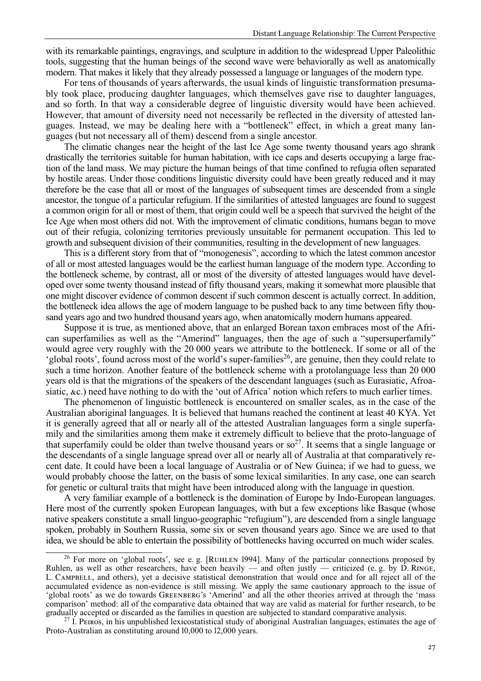with its remarkable paintings, engravings, and sculpture in addition to the widespread Upper Paleolithic tools, suggesting that the human beings of the second wave were behaviorally as well as anatomically modern. That makes it likely that they already possessed a language or languages of the modern type.

For tens of thousands of years afterwards, the usual kinds of linguistic transformation presumably took place, producing daughter languages, which themselves gave rise to daughter languages, and so forth. In that way a considerable degree of linguistic diversity would have been achieved. However, that amount of diversity need not necessarily be reflected in the diversity of attested languages. Instead, we may be dealing here with a "bottleneck" effect, in which a great many languages (but not necessary all of them) descend from a single ancestor.

The climatic changes near the height of the last Ice Age some twenty thousand years ago shrank drastically the territories suitable for human habitation, with ice caps and deserts occupying a large fraction of the land mass. We may picture the human beings of that time confined to refugia often separated by hostile areas. Under those conditions linguistic diversity could have been greatly reduced and it may therefore be the case that all or most of the languages of subsequent times are descended from a single ancestor, the tongue of a particular refugium. If the similarities of attested languages are found to suggest a common origin for all or most of them, that origin could well be a speech that survived the height of the Ice Age when most others did not. With the improvement of climatic conditions, humans began to move out of their refugia, colonizing territories previously unsuitable for permanent occupation. This led to growth and subsequent division of their communities, resulting in the development of new languages.

This is a different story from that of "monogenesis", according to which the latest common ancestor of all or most attested languages would be the earliest human language of the modern type. According to the bottleneck scheme, by contrast, all or most of the diversity of attested languages would have developed over some twenty thousand instead of fifty thousand years, making it somewhat more plausible that one might discover evidence of common descent if such common descent is actually correct. In addition, the bottleneck idea allows the age of modern language to be pushed back to any time between fifty thousand years ago and two hundred thousand years ago, when anatomically modern humans appeared.

Suppose it is true, as mentioned above, that an enlarged Borean taxon embraces most of the African superfamilies as well as the "Amerind" languages, then the age of such a "supersuperfamily" would agree very roughly with the 20 000 years we attribute to the bottleneck. If some or all of the 'global roots', found across most of the world's super-families<sup>26</sup>, are genuine, then they could relate to such a time horizon. Another feature of the bottleneck scheme with a protolanguage less than 20 000 years old is that the migrations of the speakers of the descendant languages (such as Eurasiatic, Afroasiatic, &c.) need have nothing to do with the 'out of Africa' notion which refers to much earlier times.

The phenomenon of linguistic bottleneck is encountered on smaller scales, as in the case of the Australian aboriginal languages. It is believed that humans reached the continent at least 40 KYA. Yet it is generally agreed that all or nearly all of the attested Australian languages form a single superfamily and the similarities among them make it extremely difficult to believe that the proto-language of that superfamily could be older than twelve thousand years or  $\sigma^{27}$ . It seems that a single language or the descendants of a single language spread over all or nearly all of Australia at that comparatively recent date. It could have been a local language of Australia or of New Guinea; if we had to guess, we would probably choose the latter, on the basis of some lexical similarities. In any case, one can search for genetic or cultural traits that might have been introduced along with the language in question.

A very familiar example of a bottleneck is the domination of Europe by Indo-European languages. Here most of the currently spoken European languages, with but a few exceptions like Basque (whose native speakers constitute a small linguo-geographic "refugium"), are descended from a single language spoken, probably in Southern Russia, some six or seven thousand years ago. Since we are used to that idea, we should be able to entertain the possibility of bottlenecks having occurred on much wider scales.

<sup>&</sup>lt;sup>26</sup> For more on 'global roots', see e.g. [RUHLEN 1994]. Many of the particular connections proposed by Ruhlen, as well as other researchers, have been heavily — and often justly — criticized (e. g. by D. Ringe, L. Campbell, and others), yet a decisive statistical demonstration that would once and for all reject all of the accumulated evidence as non-evidence is still missing. We apply the same cautionary approach to the issue of 'global roots' as we do towards Greenberg's 'Amerind' and all the other theories arrived at through the 'mass comparison' method: all of the comparative data obtained that way are valid as material for further research, to be gradually accepted or discarded as the families in question are subjected to standard comparative analysis.

 $27$  I. PEIROS, in his unpublished lexicostatistical study of aboriginal Australian languages, estimates the age of Proto-Australian as constituting around 10,000 to 12,000 years.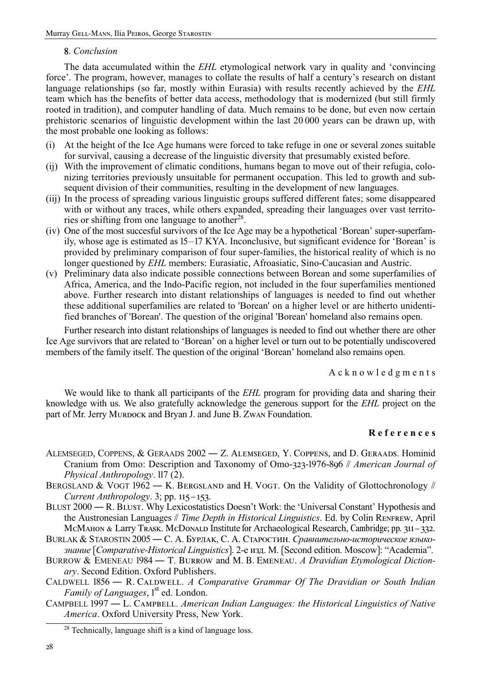## 8. Conclusion

The data accumulated within the *EHL* etymological network vary in quality and 'convincing' force'. The program, however, manages to collate the results of half a century's research on distant language relationships (so far, mostly within Eurasia) with results recently achieved by the EHL team which has the benefits of better data access, methodology that is modernized (but still firmly rooted in tradition), and computer handling of data. Much remains to be done, but even now certain prehistoric scenarios of linguistic development within the last 20 000 years can be drawn up, with the most probable one looking as follows:

- (i) At the height of the Ice Age humans were forced to take refuge in one or several zones suitable for survival, causing a decrease of the linguistic diversity that presumably existed before.
- (ij) With the improvement of climatic conditions, humans began to move out of their refugia, colonizing territories previously unsuitable for permanent occupation. This led to growth and subsequent division of their communities, resulting in the development of new languages.
- (iij) In the process of spreading various linguistic groups suffered different fates; some disappeared with or without any traces, while others expanded, spreading their languages over vast territories or shifting from one language to another<sup>28</sup>.
- (iv) One of the most succesful survivors of the Ice Age may be a hypothetical 'Borean' super-superfamily, whose age is estimated as 15– 17 KYA. Inconclusive, but significant evidence for 'Borean' is provided by preliminary comparison of four super-families, the historical reality of which is no longer questioned by EHL members: Eurasiatic, Afroasiatic, Sino-Caucasian and Austric.
- (v) Preliminary data also indicate possible connections between Borean and some superfamilies of Africa, America, and the Indo-Pacific region, not included in the four superfamilies mentioned above. Further research into distant relationships of languages is needed to find out whether these additional superfamilies are related to 'Borean' on a higher level or are hitherto unidentified branches of 'Borean'. The question of the original 'Borean' homeland also remains open.

Further research into distant relationships of languages is needed to find out whether there are other Ice Age survivors that are related to 'Borean' on a higher level or turn out to be potentially undiscovered members of the family itself. The question of the original 'Borean' homeland also remains open.

Acknowledgments

We would like to thank all participants of the *EHL* program for providing data and sharing their knowledge with us. We also gratefully acknowledge the generous support for the EHL project on the part of Mr. Jerry MURDOCK and Bryan J. and June B. Zwan Foundation.

## References

- ALEMSEGED, COPPENS, & GERAADS 2002 ― Z. Alemseged, Y. Coppens, and D. Geraads. Hominid Cranium from Omo: Description and Taxonomy of Omo-323-1976-896 *|| American Journal of* Physical Anthropology. 117 (2).
- BERGSLAND & VOGT 1962 K. BERGSLAND and H. VOGT. On the Validity of Glottochronology  $\#$ Current Anthropology. 3; pp. 115–153.
- BLUST 2000 R. BLUST. Why Lexicostatistics Doesn't Work: the 'Universal Constant' Hypothesis and the Austronesian Languages *// Time Depth in Historical Linguistics*. Ed. by Colin RENFREW, April McMAHON & Larry Trask. McDONALD Institute for Archaeological Research, Cambridge; pp. 311–332.

BURLAK & STAROSTIN 2005 ― С. А. Бурлак, С. А. Старостин. Сравнительно-историческое языкознание [Comparative-Historical Linguistics]. 2-е изд. М. [Second edition. Moscow]: "Academia".

- BURROW & EMENEAU 1984 T. BURROW and M. B. EMENEAU. A Dravidian Etymological Dictionary. Second Edition. Oxford Publishers.
- CALDWELL 1856 R. CALDWELL. A Comparative Grammar Of The Dravidian or South Indian Family of Languages,  $1<sup>st</sup>$  ed. London.
- CAMPBELL 1997 L. CAMPBELL. American Indian Languages: the Historical Linguistics of Native America. Oxford University Press, New York.

 $28$  Technically, language shift is a kind of language loss.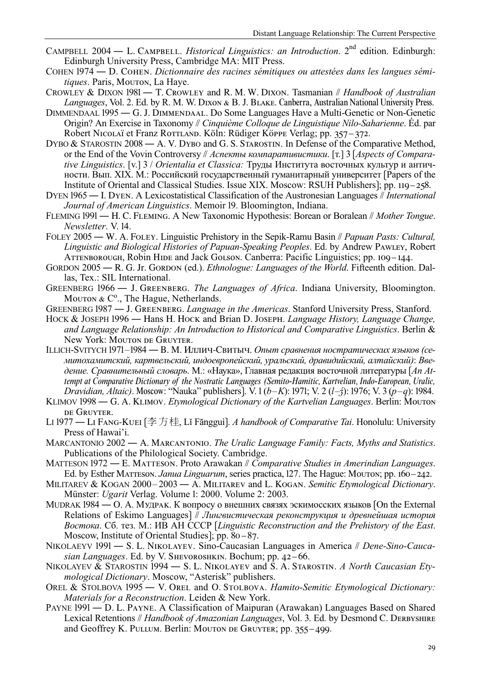- CAMPBELL 2004 L. CAMPBELL. Historical Linguistics: an Introduction.  $2^{nd}$  edition. Edinburgh: Edinburgh University Press, Cambridge MA: MIT Press.
- COHEN 1974 ― D. Cohen. Dictionnaire des racines sémitiques ou attestées dans les langues sémitiques. Paris, Mouron, La Haye.
- CROWLEY & DIXON 1981 T. CROWLEY and R. M. W. DIXON. Tasmanian  $\#$  Handbook of Australian Languages, Vol. 2. Ed. by R. M. W. DIXON & B. J. BLAKE. Canberra, Australian National University Press.
- DIMMENDAAL 1995 ― G. J. Dimmendaal. Do Some Languages Have a Multi-Genetic or Non-Genetic Origin? An Exercise in Taxonomy  $\#$  Cinquième Colloque de Linguistique Nilo-Saharienne. Éd. par Robert Nicolaï et Franz Rottland. Köln: Rüdiger Köppe Verlag; pp. 357–372.
- DYBO & STAROSTIN 2008 A. V. DYBO and G. S. STAROSTIN. In Defense of the Comparative Method, or the End of the Vovin Controversy // Аспекты компаративистики. [т.] 3 [Aspects of Comparative Linguistics. [v.] 3 / Orientalia et Classica: Труды Института восточных культур и античности. Вып. XIX. М.: Российский государственный гуманитарный университет [Papers of the Institute of Oriental and Classical Studies. Issue XIX. Moscow: RSUH Publishers); pp. 119–258.
- DYEN 1965 I. DYEN. A Lexicostatistical Classification of the Austronesian Languages  $\#$  International Journal of American Linguistics. Memoir 19. Bloomington, Indiana.
- FLEMING 1991 H. C. FLEMING. A New Taxonomic Hypothesis: Borean or Boralean // Mother Tongue. Newsletter. V. 14.
- FOLEY 2005 W. A. FOLEY. Linguistic Prehistory in the Sepik-Ramu Basin // Papuan Pasts: Cultural, Linguistic and Biological Histories of Papuan-Speaking Peoples. Ed. by Andrew PAWLEY, Robert ATTENBOROUGH, Robin HIDE and Jack GOLSON. Canberra: Pacific Linguistics; pp. 109–144.
- GORDON 2005 R. G. Jr. GORDON (ed.). *Ethnologue: Languages of the World*. Fifteenth edition. Dallas, Tex.: SIL International.
- GREENBERG 1966 J. GREENBERG. *The Languages of Africa*. Indiana University, Bloomington. Mouron & C<sup>o</sup>., The Hague, Netherlands.
- GREENBERG 1987 J. GREENBERG. Language in the Americas. Stanford University Press, Stanford.
- HOCK & JOSEPH 1996 Hans H. HOCK and Brian D. JOSEPH. *Language History, Language Change*, and Language Relationship: An Introduction to Historical and Comparative Linguistics. Berlin & New York: MOUTON DE GRUYTER.
- ILLICH-SVITYCH 1971–1984 ― В. М. Иллич-Cвитыч. Опыт сравнения ностратических языков (семитохамитский, картвельский, индоевропейский, уральский, дравидийский, алтайский): Введение. Сравнительный словарь. М.: «Наука», Главная редакция восточной литературы (Ап Аttempt at Comparative Dictionary of the Nostratic Languages (Semito-Hamitic, Kartvelian, Indo-European, Uralic, *Dravidian, Altaic).* Moscow: "Nauka" publishers]. V. 1 (b–K): 1971; V. 2 (l–f): 1976; V. 3 (p–q): 1984.
- KLIMOV 1998 G. A. KLIMOV. *Etymological Dictionary of the Kartvelian Languages*. Berlin: Mouton de Gruyter.
- LI 1977 LI FANG-KUEI [李方桂, Lǐ Fāngguì]. A handbook of Comparative Tai. Honolulu: University Press of Hawai'i.
- MARCANTONIO 2002 A. MARCANTONIO. The Uralic Language Family: Facts, Myths and Statistics. Publications of the Philological Society. Cambridge.
- MATTESON 1972 E. MATTESON. Proto Arawakan // Comparative Studies in Amerindian Languages. Ed. by Esther Matteson. Janua Linguarum, series practica, 127. The Hague: Mouton; pp. 160–242.
- MILITAREV & KOGAN 2000-2003 A. MILITAREV and L. KOGAN. Semitic Etymological Dictionary. Münster: Ugarit Verlag. Volume 1: 2000. Volume 2: 2003.
- MUDRAK 1984 О. А. Мудрак. К вопросу о внешних связях эскимосских языков [On the External Relations of Eskimo Languages  $\parallel$  Лингвистическая реконструкция и древнейшая история Востока. Сб. тез. М.: ИВ АН СССР [Linguistic Reconstruction and the Prehistory of the East. Moscow, Institute of Oriental Studies]; pp.  $80-87$ .
- NIKOLAEYV 1991 S. L. NIKOLAYEV. Sino-Caucasian Languages in America *|| Dene-Sino-Cauca*sian Languages. Ed. by V. SHEVOROSHKIN. Bochum; pp. 42–66.
- NIKOLAYEV & STAROSTIN 1994 S. L. NIKOLAYEV and S. A. STAROSTIN. A North Caucasian Etymological Dictionary. Moscow, "Asterisk" publishers.
- OREL & STOLBOVA 1995 V. OREL and O. STOLBOVA. Hamito-Semitic Etymological Dictionary: Materials for a Reconstruction. Leiden & New York.
- PAYNE 1991 D. L. PAYNE. A Classification of Maipuran (Arawakan) Languages Based on Shared Lexical Retentions // Handbook of Amazonian Languages, Vol. 3. Ed. by Desmond C. DERBYSHIRE and Geoffrey K. PULLUM. Berlin: Mouton DE GRUYTER; pp. 355-499.